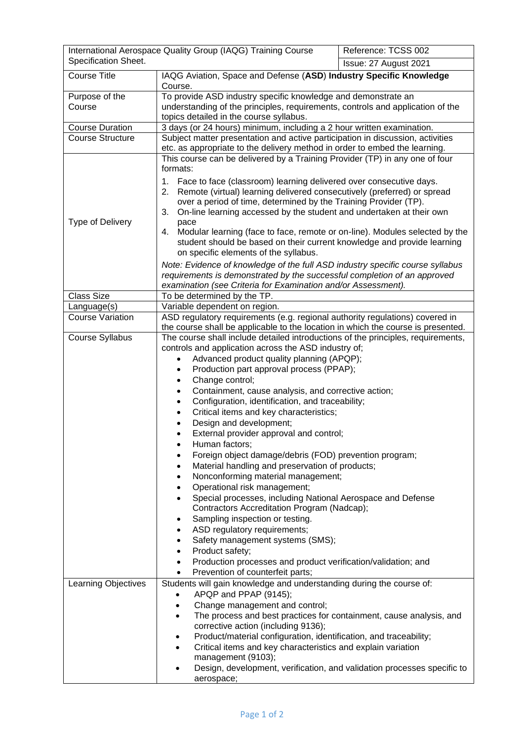| International Aerospace Quality Group (IAQG) Training Course<br>Specification Sheet. |                                                                                                                                                                                                                                                                                                                                                                                                                                                                                                                                                                                                                                                                                                                                                                                                                                                                                                                                                                                                                                                                                                                                         | Reference: TCSS 002<br>Issue: 27 August 2021 |
|--------------------------------------------------------------------------------------|-----------------------------------------------------------------------------------------------------------------------------------------------------------------------------------------------------------------------------------------------------------------------------------------------------------------------------------------------------------------------------------------------------------------------------------------------------------------------------------------------------------------------------------------------------------------------------------------------------------------------------------------------------------------------------------------------------------------------------------------------------------------------------------------------------------------------------------------------------------------------------------------------------------------------------------------------------------------------------------------------------------------------------------------------------------------------------------------------------------------------------------------|----------------------------------------------|
| <b>Course Title</b>                                                                  | IAQG Aviation, Space and Defense (ASD) Industry Specific Knowledge<br>Course.                                                                                                                                                                                                                                                                                                                                                                                                                                                                                                                                                                                                                                                                                                                                                                                                                                                                                                                                                                                                                                                           |                                              |
| Purpose of the<br>Course                                                             | To provide ASD industry specific knowledge and demonstrate an<br>understanding of the principles, requirements, controls and application of the<br>topics detailed in the course syllabus.                                                                                                                                                                                                                                                                                                                                                                                                                                                                                                                                                                                                                                                                                                                                                                                                                                                                                                                                              |                                              |
| <b>Course Duration</b>                                                               | 3 days (or 24 hours) minimum, including a 2 hour written examination.                                                                                                                                                                                                                                                                                                                                                                                                                                                                                                                                                                                                                                                                                                                                                                                                                                                                                                                                                                                                                                                                   |                                              |
| <b>Course Structure</b>                                                              | Subject matter presentation and active participation in discussion, activities                                                                                                                                                                                                                                                                                                                                                                                                                                                                                                                                                                                                                                                                                                                                                                                                                                                                                                                                                                                                                                                          |                                              |
| Type of Delivery                                                                     | etc. as appropriate to the delivery method in order to embed the learning.<br>This course can be delivered by a Training Provider (TP) in any one of four<br>formats:<br>Face to face (classroom) learning delivered over consecutive days.<br>1.<br>Remote (virtual) learning delivered consecutively (preferred) or spread<br>2.<br>over a period of time, determined by the Training Provider (TP).<br>3.<br>On-line learning accessed by the student and undertaken at their own<br>pace<br>Modular learning (face to face, remote or on-line). Modules selected by the<br>4.<br>student should be based on their current knowledge and provide learning<br>on specific elements of the syllabus.<br>Note: Evidence of knowledge of the full ASD industry specific course syllabus                                                                                                                                                                                                                                                                                                                                                  |                                              |
|                                                                                      | requirements is demonstrated by the successful completion of an approved<br>examination (see Criteria for Examination and/or Assessment).                                                                                                                                                                                                                                                                                                                                                                                                                                                                                                                                                                                                                                                                                                                                                                                                                                                                                                                                                                                               |                                              |
| <b>Class Size</b>                                                                    | To be determined by the TP.                                                                                                                                                                                                                                                                                                                                                                                                                                                                                                                                                                                                                                                                                                                                                                                                                                                                                                                                                                                                                                                                                                             |                                              |
| Language(s)                                                                          | Variable dependent on region.                                                                                                                                                                                                                                                                                                                                                                                                                                                                                                                                                                                                                                                                                                                                                                                                                                                                                                                                                                                                                                                                                                           |                                              |
| <b>Course Variation</b>                                                              | ASD regulatory requirements (e.g. regional authority regulations) covered in<br>the course shall be applicable to the location in which the course is presented.                                                                                                                                                                                                                                                                                                                                                                                                                                                                                                                                                                                                                                                                                                                                                                                                                                                                                                                                                                        |                                              |
|                                                                                      |                                                                                                                                                                                                                                                                                                                                                                                                                                                                                                                                                                                                                                                                                                                                                                                                                                                                                                                                                                                                                                                                                                                                         |                                              |
| Course Syllabus                                                                      | The course shall include detailed introductions of the principles, requirements,<br>controls and application across the ASD industry of;<br>Advanced product quality planning (APQP);<br>Production part approval process (PPAP);<br>Change control;<br>Containment, cause analysis, and corrective action;<br>Configuration, identification, and traceability;<br>Critical items and key characteristics;<br>Design and development;<br>External provider approval and control;<br>Human factors;<br>$\bullet$<br>Foreign object damage/debris (FOD) prevention program;<br>Material handling and preservation of products;<br>Nonconforming material management;<br>$\bullet$<br>Operational risk management;<br>$\bullet$<br>Special processes, including National Aerospace and Defense<br>$\bullet$<br>Contractors Accreditation Program (Nadcap);<br>Sampling inspection or testing.<br>٠<br>ASD regulatory requirements;<br>Safety management systems (SMS);<br>$\bullet$<br>Product safety;<br>$\bullet$<br>Production processes and product verification/validation; and<br>٠<br>Prevention of counterfeit parts;<br>$\bullet$ |                                              |
| Learning Objectives                                                                  | Students will gain knowledge and understanding during the course of:<br>APQP and PPAP (9145);<br>$\bullet$<br>Change management and control;<br>$\bullet$<br>The process and best practices for containment, cause analysis, and<br>$\bullet$<br>corrective action (including 9136);<br>Product/material configuration, identification, and traceability;<br>٠<br>Critical items and key characteristics and explain variation<br>$\bullet$<br>management (9103);<br>Design, development, verification, and validation processes specific to<br>٠<br>aerospace;                                                                                                                                                                                                                                                                                                                                                                                                                                                                                                                                                                         |                                              |